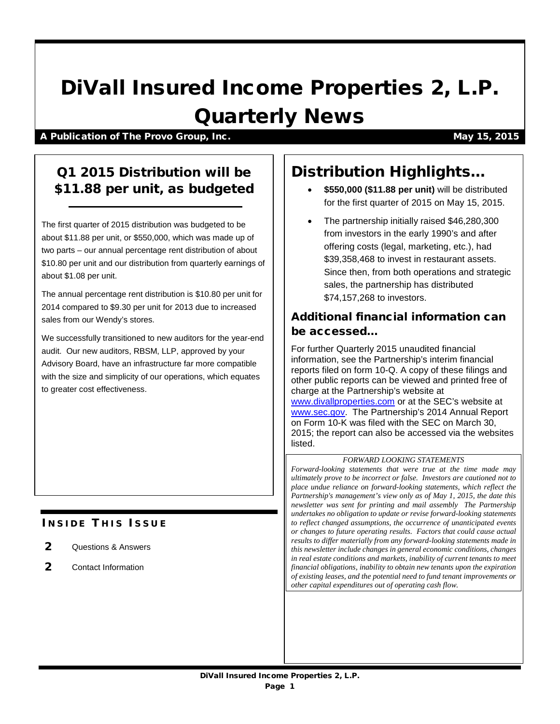# DiVall Insured Income Properties 2, L.P. Quarterly News

A Publication of The Provo Group, Inc. May 15, 2015

## Q1 2015 Distribution will be \$11.88 per unit, as budgeted

The first quarter of 2015 distribution was budgeted to be about \$11.88 per unit, or \$550,000, which was made up of two parts – our annual percentage rent distribution of about \$10.80 per unit and our distribution from quarterly earnings of about \$1.08 per unit.

The annual percentage rent distribution is \$10.80 per unit for 2014 compared to \$9.30 per unit for 2013 due to increased sales from our Wendy's stores.

We successfully transitioned to new auditors for the year-end audit. Our new auditors, RBSM, LLP, approved by your Advisory Board, have an infrastructure far more compatible with the size and simplicity of our operations, which equates to greater cost effectiveness.

## **INSIDE THIS ISSUE**

- 2 Questions & Answers
- 2 Contact Information

## Distribution Highlights…

- **\$550,000 (\$11.88 per unit)** will be distributed for the first quarter of 2015 on May 15, 2015.
- The partnership initially raised \$46,280,300 from investors in the early 1990's and after offering costs (legal, marketing, etc.), had \$39,358,468 to invest in restaurant assets. Since then, from both operations and strategic sales, the partnership has distributed \$74,157,268 to investors.

### Additional financial information can be accessed…

For further Quarterly 2015 unaudited financial information, see the Partnership's interim financial reports filed on form 10-Q. A copy of these filings and other public reports can be viewed and printed free of charge at the Partnership's website at [www.divallproperties.com](http://www.divallproperties.com/) or at the SEC's website at [www.sec.gov.](http://www.sec.gov/) The Partnership's 2014 Annual Report on Form 10-K was filed with the SEC on March 30, 2015; the report can also be accessed via the websites listed.

#### *FORWARD LOOKING STATEMENTS*

*Forward-looking statements that were true at the time made may ultimately prove to be incorrect or false. Investors are cautioned not to place undue reliance on forward-looking statements, which reflect the Partnership's management's view only as of May 1, 2015, the date this newsletter was sent for printing and mail assembly The Partnership undertakes no obligation to update or revise forward-looking statements to reflect changed assumptions, the occurrence of unanticipated events or changes to future operating results. Factors that could cause actual results to differ materially from any forward-looking statements made in this newsletter include changes in general economic conditions, changes in real estate conditions and markets, inability of current tenants to meet financial obligations, inability to obtain new tenants upon the expiration of existing leases, and the potential need to fund tenant improvements or other capital expenditures out of operating cash flow.*